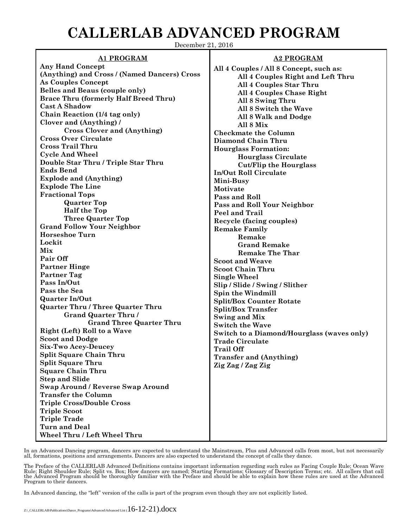## **CALLERLAB ADVANCED PROGRAM**

December 21, 2016

## **A1 PROGRAM**

**Any Hand Concept (Anything) and Cross / (Named Dancers) Cross As Couples Concept Belles and Beaus (couple only) Brace Thru (formerly Half Breed Thru) Cast A Shadow Chain Reaction (1/4 tag only) Clover and (Anything) / Cross Clover and (Anything) Cross Over Circulate Cross Trail Thru Cycle And Wheel Double Star Thru / Triple Star Thru Ends Bend Explode and (Anything) Explode The Line Fractional Tops Quarter Top Half the Top Three Quarter Top Grand Follow Your Neighbor Horseshoe Turn Lockit Mix Pair Off Partner Hinge Partner Tag Pass In/Out Pass the Sea Quarter In/Out Quarter Thru / Three Quarter Thru Grand Quarter Thru / Grand Three Quarter Thru Right (Left) Roll to a Wave Scoot and Dodge Six-Two Acey-Deucey Split Square Chain Thru Split Square Thru Square Chain Thru Step and Slide Swap Around / Reverse Swap Around Transfer the Column Triple Cross/Double Cross Triple Scoot Triple Trade Turn and Deal Wheel Thru / Left Wheel Thru**

## **A2 PROGRAM**

**All 4 Couples / All 8 Concept, such as: All 4 Couples Right and Left Thru All 4 Couples Star Thru All 4 Couples Chase Right All 8 Swing Thru All 8 Switch the Wave All 8 Walk and Dodge All 8 Mix Checkmate the Column Diamond Chain Thru Hourglass Formation: Hourglass Circulate Cut/Flip the Hourglass In/Out Roll Circulate Mini-Busy Motivate Pass and Roll Pass and Roll Your Neighbor Peel and Trail Recycle (facing couples) Remake Family Remake Grand Remake Remake The Thar Scoot and Weave Scoot Chain Thru Single Wheel Slip / Slide / Swing / Slither Spin the Windmill Split/Box Counter Rotate Split/Box Transfer Swing and Mix Switch the Wave Switch to a Diamond/Hourglass (waves only) Trade Circulate Trail Off Transfer and (Anything) Zig Zag / Zag Zig**

In an Advanced Dancing program, dancers are expected to understand the Mainstream, Plus and Advanced calls from most, but not necessarily all, formations, positions and arrangements. Dancers are also expected to understand the concept of calls they dance.

The Preface of the CALLERLAB Advanced Definitions contains important information regarding such rules as Facing Couple Rule; Ocean Wave<br>Rule; Right Shoulder Rule; Split vs. Box; How dancers are named; Starting Formations; Program to their dancers.

In Advanced dancing, the "left" version of the calls is part of the program even though they are not explicitly listed.